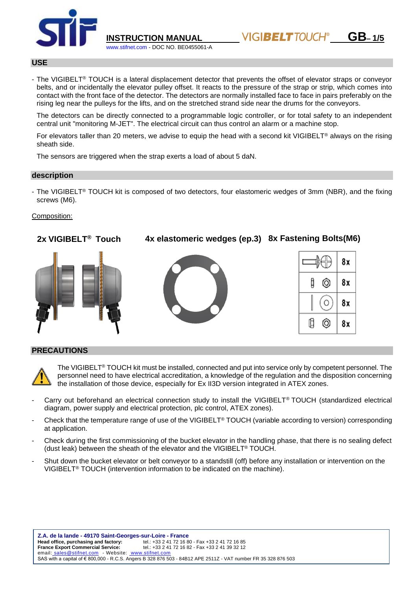

**INSTRUCTION MANUAL GB– 1/5**

## **USE**

- The VIGIBELT<sup>®</sup> TOUCH is a lateral displacement detector that prevents the offset of elevator straps or conveyor belts, and or incidentally the elevator pulley offset. It reacts to the pressure of the strap or strip, which comes into contact with the front face of the detector. The detectors are normally installed face to face in pairs preferably on the rising leg near the pulleys for the lifts, and on the stretched strand side near the drums for the conveyors.

The detectors can be directly connected to a programmable logic controller, or for total safety to an independent central unit "monitoring M-JET". The electrical circuit can thus control an alarm or a machine stop.

For elevators taller than 20 meters, we advise to equip the head with a second kit VIGIBELT<sup>®</sup> always on the rising sheath side.

The sensors are triggered when the strap exerts a load of about 5 daN.

ww.stifnet.com - DOC NO. BE0455061-A

### **description**

- The VIGIBELT® TOUCH kit is composed of two detectors, four elastomeric wedges of 3mm (NBR), and the fixing screws (M6).

### Composition:



### **PRECAUTIONS**



The VIGIBELT® TOUCH kit must be installed, connected and put into service only by competent personnel. The personnel need to have electrical accreditation, a knowledge of the regulation and the disposition concerning the installation of those device, especially for Ex II3D version integrated in ATEX zones.

- Carry out beforehand an electrical connection study to install the VIGIBELT® TOUCH (standardized electrical diagram, power supply and electrical protection, plc control, ATEX zones).
- Check that the temperature range of use of the VIGIBELT® TOUCH (variable according to version) corresponding at application.
- Check during the first commissioning of the bucket elevator in the handling phase, that there is no sealing defect (dust leak) between the sheath of the elevator and the VIGIBELT® TOUCH.
- Shut down the bucket elevator or belt conveyor to a standstill (off) before any installation or intervention on the VIGIBELT® TOUCH (intervention information to be indicated on the machine).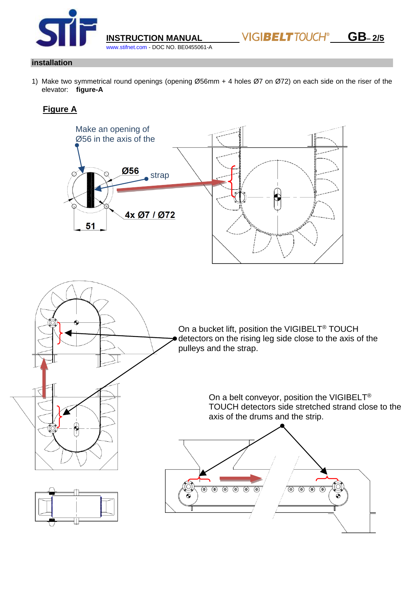

**INSTRUCTION MANUAL WIGIBELT TOUCH<sup>®</sup> GB-2/5** 

## **installation**

1) Make two symmetrical round openings (opening Ø56mm + 4 holes Ø7 on Ø72) on each side on the riser of the elevator: **figure-A**

[www.stifnet.com](http://www.stifnet.com/) - DOC NO. BE0455061-A

# **Figure A**

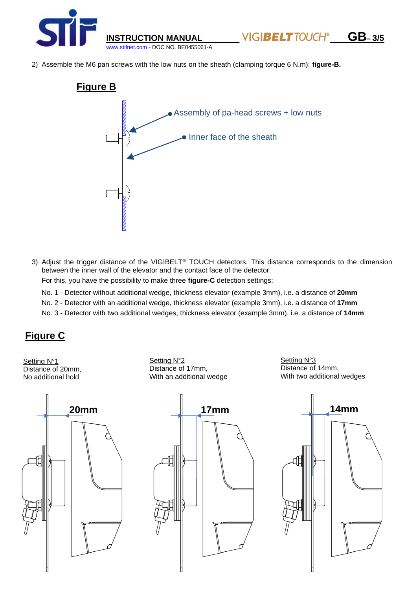

2) Assemble the M6 pan screws with the low nuts on the sheath (clamping torque 6 N.m): **figure-B.**



3) Adjust the trigger distance of the VIGIBELT® TOUCH detectors. This distance corresponds to the dimension between the inner wall of the elevator and the contact face of the detector.

For this, you have the possibility to make three **figure-C** detection settings:

No. 1 - Detector without additional wedge, thickness elevator (example 3mm), i.e. a distance of **20mm**

No. 2 - Detector with an additional wedge, thickness elevator (example 3mm), i.e. a distance of **17mm**

No. 3 - Detector with two additional wedges, thickness elevator (example 3mm), i.e. a distance of **14mm**

# **Figure C**

Setting N°1 Distance of 20mm, No additional hold

Setting N°2 Distance of 17mm, With an additional wedge Setting N°3 Distance of 14mm, With two additional wedges



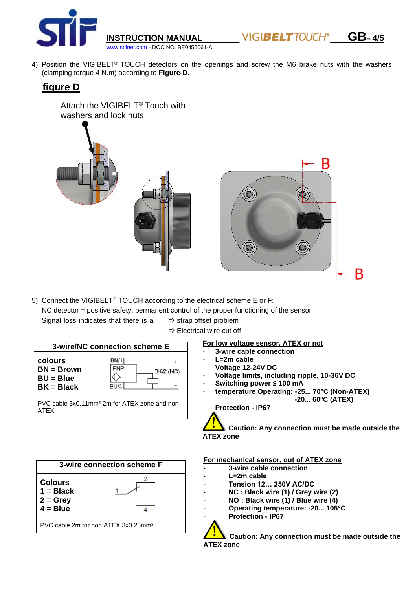

**INSTRUCTION MANUAL GB– 4/5**

4) Position the VIGIBELT® TOUCH detectors on the openings and screw the M6 brake nuts with the washers (clamping torque 4 N.m) according to **Figure-D.**

# **figure D**

Attach the VIGIBELT® Touch with washers and lock nuts



5) Connect the VIGIBELT® TOUCH according to the electrical scheme E or F: NC detector = positive safety, permanent control of the proper functioning of the sensor Signal loss indicates that there is a  $\vert \Rightarrow$  strap offset problem

 $\Rightarrow$  Electrical wire cut off

### **3-wire/NC connection scheme E**

**colours BN = Brown BU = Blue BK = Black**



PVC cable 3x0.11mm² 2m for ATEX zone and non-ATEX



# **For low voltage sensor, ATEX or not**

- **3-wire cable connection**
- L=2m cable
- **Voltage 12-24V DC**
- **Voltage limits, including ripple, 10-36V DC**
- **Switching power ≤ 100 mA**
- **temperature Operating: -25... 70°C (Non-ATEX) -20... 60°C (ATEX)**
- **Protection - IP67**

**Caution: Any connection must be made outside the ATEX zone**

#### **For mechanical sensor, out of ATEX zone**

- **3-wire cable connection**
- L=2m cable
- **Tension 12… 250V AC/DC**
- **NC : Black wire (1) / Grey wire (2)**
- **NO : Black wire (1) / Blue wire (4)**
- **Operating temperature: -20... 105°C**
- **Protection - IP67**

**Caution: Any connection must be made outside the ATEX zone**